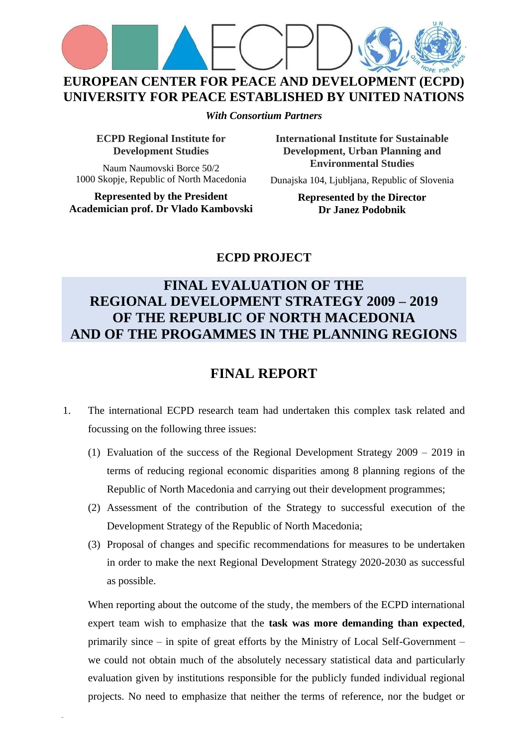

**EUROPEAN CENTER FOR PEACE AND DEVELOPMENT (ECPD) UNIVERSITY FOR PEACE ESTABLISHED BY UNITED NATIONS**

*With Consortium Partners*

**ECPD Regional Institute for Development Studies**

Naum Naumovski Borce 50/2 1000 Skopje, Republic of North Macedonia

**Represented by the President Academician prof. Dr Vlado Kambovski** **International Institute for Sustainable Development, Urban Planning and Environmental Studies**

Dunajska 104, Ljubljana, Republic of Slovenia

**Represented by the Director Dr Janez Podobnik**

## **ECPD PROJECT**

## **FINAL EVALUATION OF THE REGIONAL DEVELOPMENT STRATEGY 2009 – 2019 OF THE REPUBLIC OF NORTH MACEDONIA AND OF THE PROGAMMES IN THE PLANNING REGIONS**

## **FINAL REPORT**

- 1. The international ECPD research team had undertaken this complex task related and focussing on the following three issues:
	- (1) Evaluation of the success of the Regional Development Strategy 2009 2019 in terms of reducing regional economic disparities among 8 planning regions of the Republic of North Macedonia and carrying out their development programmes;
	- (2) Assessment of the contribution of the Strategy to successful execution of the Development Strategy of the Republic of North Macedonia;
	- (3) Proposal of changes and specific recommendations for measures to be undertaken in order to make the next Regional Development Strategy 2020-2030 as successful as possible.

When reporting about the outcome of the study, the members of the ECPD international expert team wish to emphasize that the **task was more demanding than expected**, primarily since – in spite of great efforts by the Ministry of Local Self-Government – we could not obtain much of the absolutely necessary statistical data and particularly evaluation given by institutions responsible for the publicly funded individual regional projects. No need to emphasize that neither the terms of reference, nor the budget or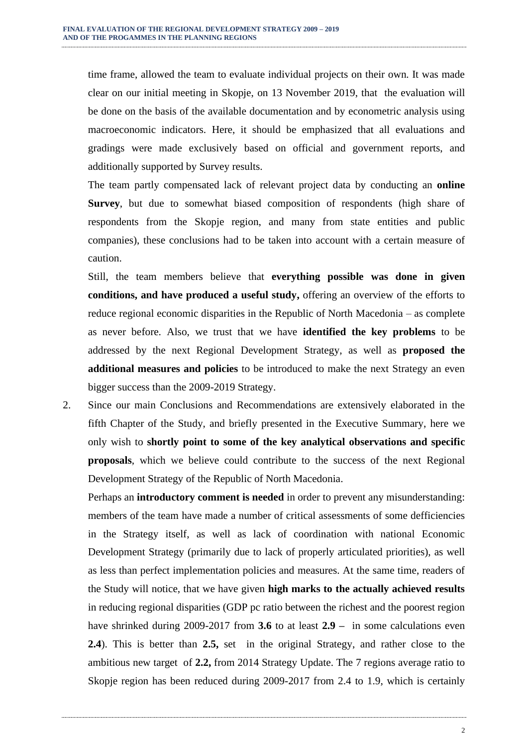time frame, allowed the team to evaluate individual projects on their own. It was made clear on our initial meeting in Skopje, on 13 November 2019, that the evaluation will be done on the basis of the available documentation and by econometric analysis using macroeconomic indicators. Here, it should be emphasized that all evaluations and gradings were made exclusively based on official and government reports, and additionally supported by Survey results.

The team partly compensated lack of relevant project data by conducting an **online Survey**, but due to somewhat biased composition of respondents (high share of respondents from the Skopje region, and many from state entities and public companies), these conclusions had to be taken into account with a certain measure of caution.

Still, the team members believe that **everything possible was done in given conditions, and have produced a useful study,** offering an overview of the efforts to reduce regional economic disparities in the Republic of North Macedonia – as complete as never before. Also, we trust that we have **identified the key problems** to be addressed by the next Regional Development Strategy, as well as **proposed the additional measures and policies** to be introduced to make the next Strategy an even bigger success than the 2009-2019 Strategy.

2. Since our main Conclusions and Recommendations are extensively elaborated in the fifth Chapter of the Study, and briefly presented in the Executive Summary, here we only wish to **shortly point to some of the key analytical observations and specific proposals**, which we believe could contribute to the success of the next Regional Development Strategy of the Republic of North Macedonia.

Perhaps an **introductory comment is needed** in order to prevent any misunderstanding: members of the team have made a number of critical assessments of some defficiencies in the Strategy itself, as well as lack of coordination with national Economic Development Strategy (primarily due to lack of properly articulated priorities), as well as less than perfect implementation policies and measures. At the same time, readers of the Study will notice, that we have given **high marks to the actually achieved results** in reducing regional disparities (GDP pc ratio between the richest and the poorest region have shrinked during 2009-2017 from **3.6** to at least **2.9 –** in some calculations even **2.4**). This is better than **2.5,** set in the original Strategy, and rather close to the ambitious new target of **2.2,** from 2014 Strategy Update. The 7 regions average ratio to Skopje region has been reduced during 2009-2017 from 2.4 to 1.9, which is certainly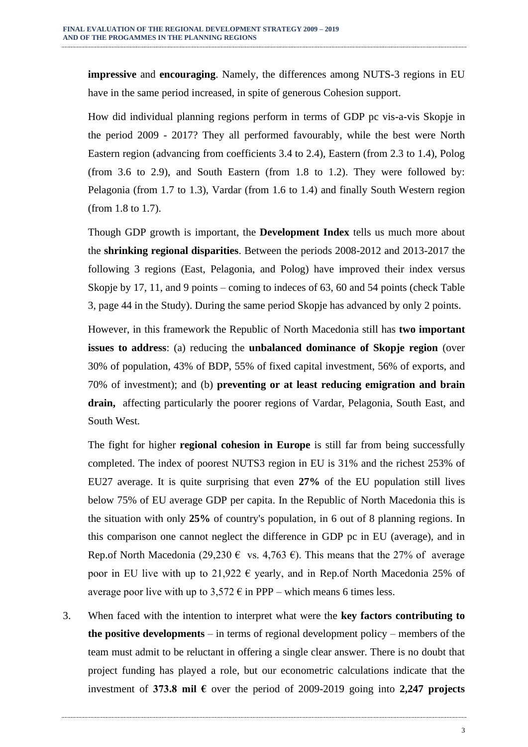**impressive** and **encouraging**. Namely, the differences among NUTS-3 regions in EU have in the same period increased, in spite of generous Cohesion support.

How did individual planning regions perform in terms of GDP pc vis-a-vis Skopje in the period 2009 - 2017? They all performed favourably, while the best were North Eastern region (advancing from coefficients 3.4 to 2.4), Eastern (from 2.3 to 1.4), Polog (from 3.6 to 2.9), and South Eastern (from 1.8 to 1.2). They were followed by: Pelagonia (from 1.7 to 1.3), Vardar (from 1.6 to 1.4) and finally South Western region (from 1.8 to 1.7).

Though GDP growth is important, the **Development Index** tells us much more about the **shrinking regional disparities**. Between the periods 2008-2012 and 2013-2017 the following 3 regions (East, Pelagonia, and Polog) have improved their index versus Skopje by 17, 11, and 9 points – coming to indeces of 63, 60 and 54 points (check Table 3, page 44 in the Study). During the same period Skopje has advanced by only 2 points.

However, in this framework the Republic of North Macedonia still has **two important issues to address**: (a) reducing the **unbalanced dominance of Skopje region** (over 30% of population, 43% of BDP, 55% of fixed capital investment, 56% of exports, and 70% of investment); and (b) **preventing or at least reducing emigration and brain drain,** affecting particularly the poorer regions of Vardar, Pelagonia, South East, and South West.

The fight for higher **regional cohesion in Europe** is still far from being successfully completed. The index of poorest NUTS3 region in EU is 31% and the richest 253% of EU27 average. It is quite surprising that even **27%** of the EU population still lives below 75% of EU average GDP per capita. In the Republic of North Macedonia this is the situation with only **25%** of country's population, in 6 out of 8 planning regions. In this comparison one cannot neglect the difference in GDP pc in EU (average), and in Rep.of North Macedonia (29,230  $\epsilon$  vs. 4,763  $\epsilon$ ). This means that the 27% of average poor in EU live with up to 21,922  $\epsilon$  yearly, and in Rep.of North Macedonia 25% of average poor live with up to  $3,572 \in \mathbb{R}$  in PPP – which means 6 times less.

3. When faced with the intention to interpret what were the **key factors contributing to the positive developments** – in terms of regional development policy – members of the team must admit to be reluctant in offering a single clear answer. There is no doubt that project funding has played a role, but our econometric calculations indicate that the investment of **373.8 mil €** over the period of 2009-2019 going into **2,247 projects**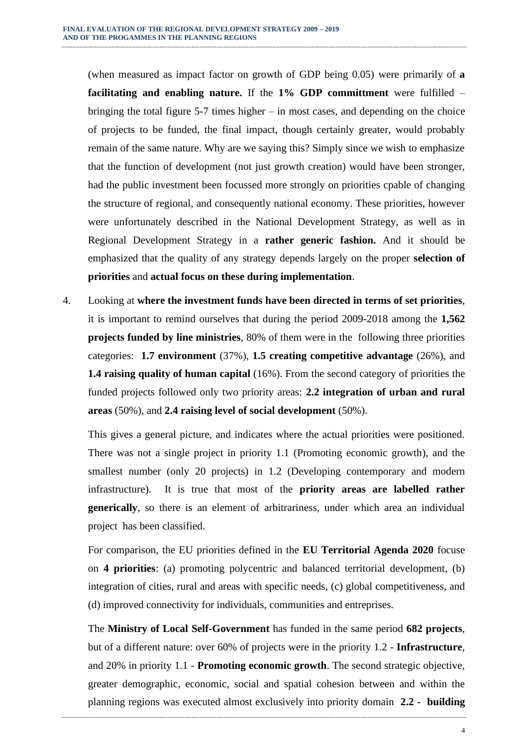(when measured as impact factor on growth of GDP being 0.05) were primarily of **a facilitating and enabling nature.** If the **1% GDP committment** were fulfilled – bringing the total figure 5-7 times higher – in most cases, and depending on the choice of projects to be funded, the final impact, though certainly greater, would probably remain of the same nature. Why are we saying this? Simply since we wish to emphasize that the function of development (not just growth creation) would have been stronger, had the public investment been focussed more strongly on priorities cpable of changing the structure of regional, and consequently national economy. These priorities, however were unfortunately described in the National Development Strategy, as well as in Regional Development Strategy in a **rather generic fashion.** And it should be emphasized that the quality of any strategy depends largely on the proper **selection of priorities** and **actual focus on these during implementation**.

4. Looking at **where the investment funds have been directed in terms of set priorities**, it is important to remind ourselves that during the period 2009-2018 among the **1,562 projects funded by line ministries**, 80% of them were in the following three priorities categories: **1.7 environment** (37%), **1.5 creating competitive advantage** (26%), and **1.4 raising quality of human capital** (16%). From the second category of priorities the funded projects followed only two priority areas: **2.2 integration of urban and rural areas** (50%), and **2.4 raising level of social development** (50%).

This gives a general picture, and indicates where the actual priorities were positioned. There was not a single project in priority 1.1 (Promoting economic growth), and the smallest number (only 20 projects) in 1.2 (Developing contemporary and modern infrastructure). It is true that most of the **priority areas are labelled rather generically**, so there is an element of arbitrariness, under which area an individual project has been classified.

For comparison, the EU priorities defined in the **EU Territorial Agenda 2020** focuse on **4 priorities**: (a) promoting polycentric and balanced territorial development, (b) integration of cities, rural and areas with specific needs, (c) global competitiveness, and (d) improved connectivity for individuals, communities and entreprises.

The **Ministry of Local Self-Government** has funded in the same period **682 projects**, but of a different nature: over 60% of projects were in the priority 1.2 - **Infrastructure**, and 20% in priority 1.1 - **Promoting economic growth**. The second strategic objective, greater demographic, economic, social and spatial cohesion between and within the planning regions was executed almost exclusively into priority domain **2.2 - building**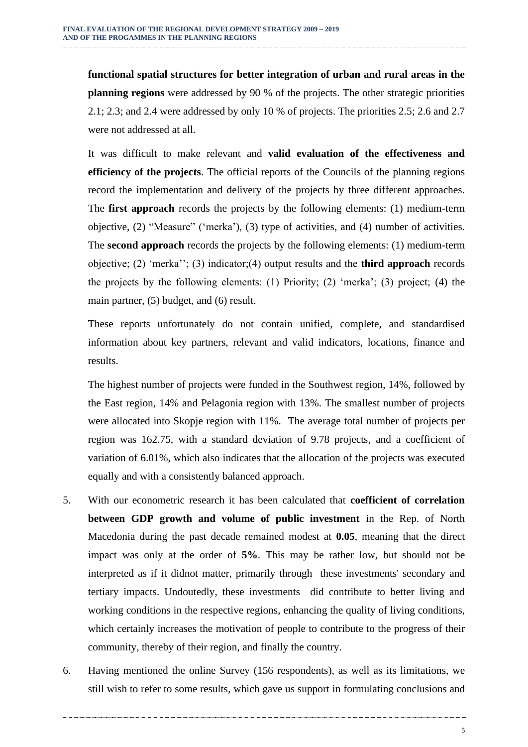**functional spatial structures for better integration of urban and rural areas in the planning regions** were addressed by 90 % of the projects. The other strategic priorities 2.1; 2.3; and 2.4 were addressed by only 10 % of projects. The priorities 2.5; 2.6 and 2.7 were not addressed at all.

It was difficult to make relevant and **valid evaluation of the effectiveness and efficiency of the projects**. The official reports of the Councils of the planning regions record the implementation and delivery of the projects by three different approaches. The **first approach** records the projects by the following elements: (1) medium-term objective, (2) "Measure" ('merka'), (3) type of activities, and (4) number of activities. The **second approach** records the projects by the following elements: (1) medium-term objective; (2) 'merka''; (3) indicator;(4) output results and the **third approach** records the projects by the following elements: (1) Priority; (2) 'merka'; (3) project; (4) the main partner, (5) budget, and (6) result.

These reports unfortunately do not contain unified, complete, and standardised information about key partners, relevant and valid indicators, locations, finance and results.

The highest number of projects were funded in the Southwest region, 14%, followed by the East region, 14% and Pelagonia region with 13%. The smallest number of projects were allocated into Skopje region with 11%. The average total number of projects per region was 162.75, with a standard deviation of 9.78 projects, and a coefficient of variation of 6.01%, which also indicates that the allocation of the projects was executed equally and with a consistently balanced approach.

- 5. With our econometric research it has been calculated that **coefficient of correlation between GDP growth and volume of public investment** in the Rep. of North Macedonia during the past decade remained modest at **0.05**, meaning that the direct impact was only at the order of **5%**. This may be rather low, but should not be interpreted as if it didnot matter, primarily through these investments' secondary and tertiary impacts. Undoutedly, these investments did contribute to better living and working conditions in the respective regions, enhancing the quality of living conditions, which certainly increases the motivation of people to contribute to the progress of their community, thereby of their region, and finally the country.
- 6. Having mentioned the online Survey (156 respondents), as well as its limitations, we still wish to refer to some results, which gave us support in formulating conclusions and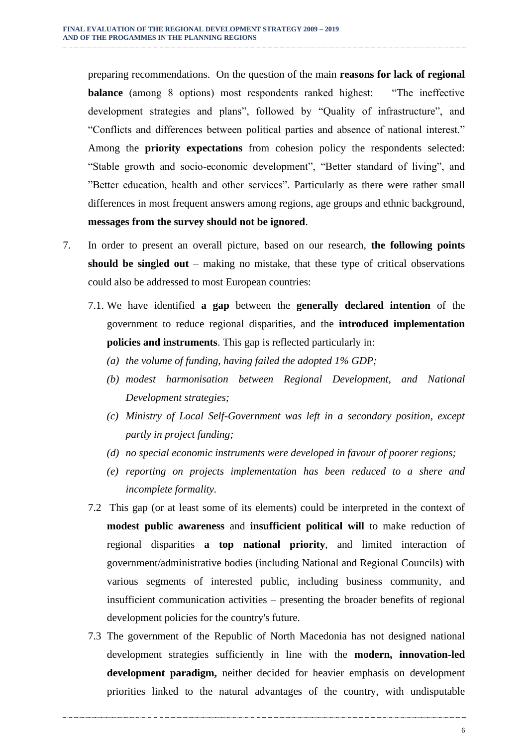preparing recommendations. On the question of the main **reasons for lack of regional balance** (among 8 options) most respondents ranked highest: "The ineffective development strategies and plans", followed by "Quality of infrastructure", and "Conflicts and differences between political parties and absence of national interest." Among the **priority expectations** from cohesion policy the respondents selected: "Stable growth and socio-economic development", "Better standard of living", and "Better education, health and other services". Particularly as there were rather small differences in most frequent answers among regions, age groups and ethnic background, **messages from the survey should not be ignored**.

- 7. In order to present an overall picture, based on our research, **the following points should be singled out** – making no mistake, that these type of critical observations could also be addressed to most European countries:
	- 7.1. We have identified **a gap** between the **generally declared intention** of the government to reduce regional disparities, and the **introduced implementation policies and instruments**. This gap is reflected particularly in:
		- *(a) the volume of funding, having failed the adopted 1% GDP;*
		- *(b) modest harmonisation between Regional Development, and National Development strategies;*
		- *(c) Ministry of Local Self-Government was left in a secondary position, except partly in project funding;*
		- *(d) no special economic instruments were developed in favour of poorer regions;*
		- *(e) reporting on projects implementation has been reduced to a shere and incomplete formality.*
	- 7.2 This gap (or at least some of its elements) could be interpreted in the context of **modest public awareness** and **insufficient political will** to make reduction of regional disparities **a top national priority**, and limited interaction of government/administrative bodies (including National and Regional Councils) with various segments of interested public, including business community, and insufficient communication activities – presenting the broader benefits of regional development policies for the country's future.
	- 7.3 The government of the Republic of North Macedonia has not designed national development strategies sufficiently in line with the **modern, innovation-led development paradigm,** neither decided for heavier emphasis on development priorities linked to the natural advantages of the country, with undisputable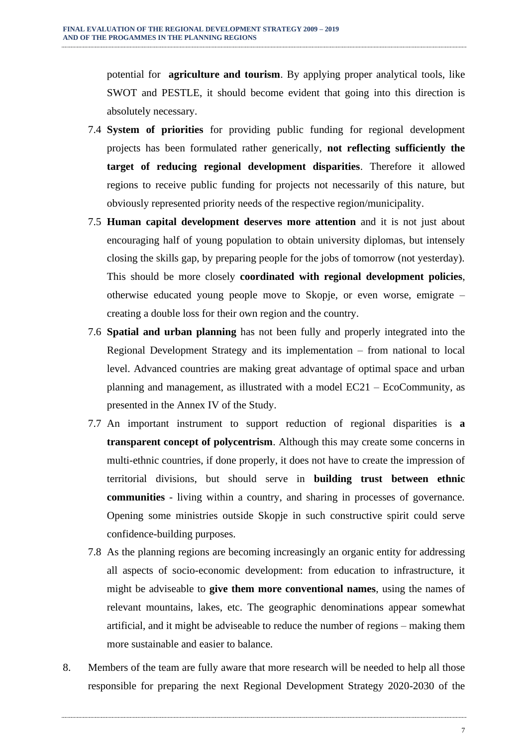potential for **agriculture and tourism**. By applying proper analytical tools, like SWOT and PESTLE, it should become evident that going into this direction is absolutely necessary.

- 7.4 **System of priorities** for providing public funding for regional development projects has been formulated rather generically, **not reflecting sufficiently the target of reducing regional development disparities**. Therefore it allowed regions to receive public funding for projects not necessarily of this nature, but obviously represented priority needs of the respective region/municipality.
- 7.5 **Human capital development deserves more attention** and it is not just about encouraging half of young population to obtain university diplomas, but intensely closing the skills gap, by preparing people for the jobs of tomorrow (not yesterday). This should be more closely **coordinated with regional development policies**, otherwise educated young people move to Skopje, or even worse, emigrate – creating a double loss for their own region and the country.
- 7.6 **Spatial and urban planning** has not been fully and properly integrated into the Regional Development Strategy and its implementation – from national to local level. Advanced countries are making great advantage of optimal space and urban planning and management, as illustrated with a model EC21 – EcoCommunity, as presented in the Annex IV of the Study.
- 7.7 An important instrument to support reduction of regional disparities is **a transparent concept of polycentrism**. Although this may create some concerns in multi-ethnic countries, if done properly, it does not have to create the impression of territorial divisions, but should serve in **building trust between ethnic communities** - living within a country, and sharing in processes of governance. Opening some ministries outside Skopje in such constructive spirit could serve confidence-building purposes.
- 7.8 As the planning regions are becoming increasingly an organic entity for addressing all aspects of socio-economic development: from education to infrastructure, it might be adviseable to **give them more conventional names**, using the names of relevant mountains, lakes, etc. The geographic denominations appear somewhat artificial, and it might be adviseable to reduce the number of regions – making them more sustainable and easier to balance.
- 8. Members of the team are fully aware that more research will be needed to help all those responsible for preparing the next Regional Development Strategy 2020-2030 of the